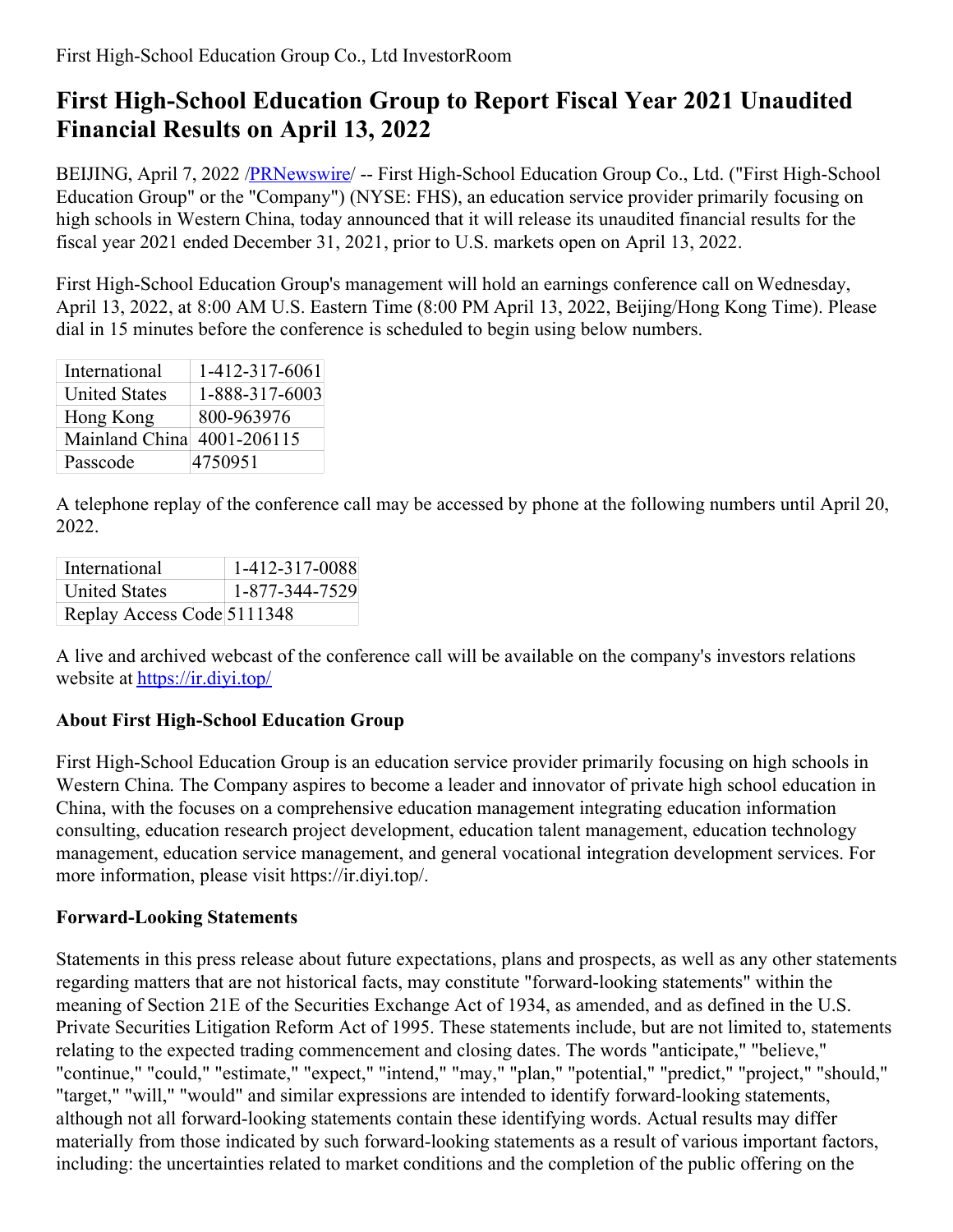## **First High-School Education Group to Report Fiscal Year 2021 Unaudited Financial Results on April 13, 2022**

BEIJING, April 7, 2022 [/PRNewswire](http://www.prnewswire.com/)/ -- First High-School Education Group Co., Ltd. ("First High-School Education Group" or the "Company") (NYSE: FHS), an education service provider primarily focusing on high schools in Western China, today announced that it will release its unaudited financial results for the fiscal year 2021 ended December 31, 2021, prior to U.S. markets open on April 13, 2022.

First High-School Education Group's management will hold an earnings conference call on Wednesday, April 13, 2022, at 8:00 AM U.S. Eastern Time (8:00 PM April 13, 2022, Beijing/Hong Kong Time). Please dial in 15 minutes before the conference is scheduled to begin using below numbers.

| International        | 1-412-317-6061 |
|----------------------|----------------|
| <b>United States</b> | 1-888-317-6003 |
| Hong Kong            | 800-963976     |
| Mainland China       | 4001-206115    |
| Passcode             | 4750951        |

A telephone replay of the conference call may be accessed by phone at the following numbers until April 20, 2022.

| International              | 1-412-317-0088 |
|----------------------------|----------------|
| <b>United States</b>       | 1-877-344-7529 |
| Replay Access Code 5111348 |                |

A live and archived webcast of the conference call will be available on the company's investors relations website at https://ir.divi.top/

## **About First High-School Education Group**

First High-School Education Group is an education service provider primarily focusing on high schools in Western China. The Company aspires to become a leader and innovator of private high school education in China, with the focuses on a comprehensive education management integrating education information consulting, education research project development, education talent management, education technology management, education service management, and general vocational integration development services. For more information, please visit https://ir.diyi.top/.

## **Forward-Looking Statements**

Statements in this press release about future expectations, plans and prospects, as well as any other statements regarding matters that are not historical facts, may constitute "forward-looking statements" within the meaning of Section 21E of the Securities Exchange Act of 1934, as amended, and as defined in the U.S. Private Securities Litigation Reform Act of 1995. These statements include, but are not limited to, statements relating to the expected trading commencement and closing dates. The words "anticipate," "believe," "continue," "could," "estimate," "expect," "intend," "may," "plan," "potential," "predict," "project," "should," "target," "will," "would" and similar expressions are intended to identify forward-looking statements, although not all forward-looking statements contain these identifying words. Actual results may differ materially from those indicated by such forward-looking statements as a result of various important factors, including: the uncertainties related to market conditions and the completion of the public offering on the